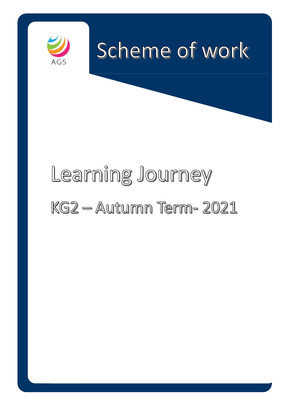

# Learning Journey KG2 - Autumn Term- 2021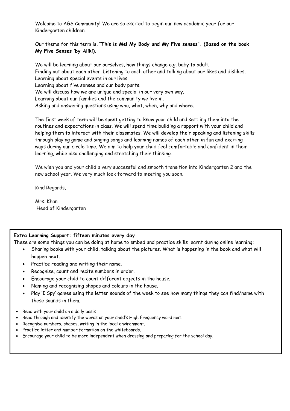Welcome to AGS Community! We are so excited to begin our new academic year for our Kindergarten children.

Our theme for this term is, "**This is Me! My Body and My Five senses**". **(Based on the book My Five Senses 'by Aliki).**

We will be learning about our ourselves, how things change e.g. baby to adult. Finding out about each other. Listening to each other and talking about our likes and dislikes. Learning about special events in our lives. Learning about five senses and our body parts. We will discuss how we are unique and special in our very own way. Learning about our families and the community we live in. Asking and answering questions using who, what, when, why and where.

The first week of term will be spent getting to know your child and settling them into the routines and expectations in class. We will spend time building a rapport with your child and helping them to interact with their classmates. We will develop their speaking and listening skills through playing game and singing songs and learning names of each other in fun and exciting ways during our circle time. We aim to help your child feel comfortable and confident in their learning, while also challenging and stretching their thinking.

We wish you and your child a very successful and smooth transition into Kindergarten 2 and the new school year. We very much look forward to meeting you soon.

Kind Regards,

Mrs. Khan Head of Kindergarten

## **Extra Learning Support: fifteen minutes every day**

These are some things you can be doing at home to embed and practice skills learnt during online learning:

- Sharing books with your child, talking about the pictures. What is happening in the book and what will happen next.
- Practice reading and writing their name.
- Recognise, count and recite numbers in order.
- Encourage your child to count different objects in the house.
- Naming and recognising shapes and colours in the house.
- Play 'I Spy' games using the letter sounds of the week to see how many things they can find/name with these sounds in them.
- Read with your child on a daily basis
- Read through and identify the words on your child's High Frequency word mat.
- Recognise numbers, shapes, writing in the local environment.
- Practice letter and number formation on the whiteboards.
- Encourage your child to be more independent when dressing and preparing for the school day.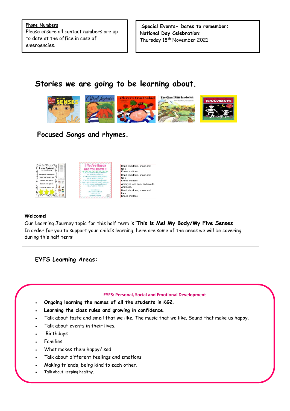**Phone Numbers** Please ensure all contact numbers are up to date at the office in case of emergencies.

**Special Events- Dates to remember: National Day Celebration:**  Thursday 18<sup>th</sup> November 2021

# **Stories we are going to be learning about.**



## **Focused Songs and rhymes.**





toes,<br>Knees and toes. Head, shoulders, knees and Head, shoulders,<br>toes,<br>Knees and toes. And eyes, and ears, and mouth And nose Head, shoulders, knees and toes,<br>Knees and toes.

Head, shoulders, knees and

#### **Welcome!**

Our Learning Journey topic for this half term is '**This is Me! My Body/My Five Senses** In order for you to support your child's learning, here are some of the areas we will be covering during this half term:

**EYFS Learning Areas:**

#### **EYFS: Personal, Social and Emotional Development**

- **Ongoing learning the names of all the students in KG2.**
- **Learning the class rules and growing in confidence.**
- Talk about taste and smell that we like. The music that we like. Sound that make us happy.
- Talk about events in their lives.
- Birthdays
- Families
- What makes them happy/ sad
- Talk about different feelings and emotions
- Making friends, being kind to each other.
- Talk about keeping healthy.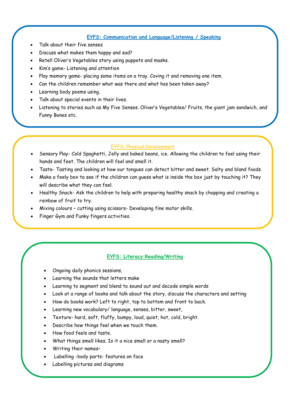#### **EYFS: Communication and Language/Listening / Speaking**

- Talk about their five senses
- Discuss what makes them happy and sad?
- Retell Oliver's Vegetables story using puppets and masks.
- Kim's game- Listening and attention
- Play memory game- placing some items on a tray. Coving it and removing one item.
- Can the children remember what was there and what has been taken away?
- Learning body poems using.
- Talk about special events in their lives.
- Listening to stories such as My Five Senses. Oliver's Vegetables/ Fruits, the giant jam sandwich, and Funny Bones etc.

#### EYFS: Physical Development

- Sensory Play- Cold Spaghetti, Jelly and baked beans, ice. Allowing the children to feel using their hands and feet. The children will feel and smell it.
- Taste- Tasting and looking at how our tongues can detect bitter and sweet. Salty and bland foods.
- Make a feely box to see if the children can guess what is inside the box just by touching it? They will describe what they can feel.
- Healthy Snack- Ask the children to help with preparing healthy snack by chopping and creating a rainbow of fruit to try.
- Mixing colours cutting using scissors- Developing fine motor skills.
- Finger Gym and Funky fingers activities.

### **EYFS: Literacy:Reading/Writing**

- Ongoing daily phonics sessions,
- Learning the sounds that letters make
- Learning to segment and blend to sound out and decode simple words
- Look at a range of books and talk about the story, discuss the characters and setting
- How do books work? Left to right, top to bottom and front to back.
- Learning new vocabulary/ language, senses, bitter, sweet,
- Texture- hard, soft, fluffy, bumpy, loud, quiet, hot, cold, bright.
- Describe how things feel when we touch them.
- How food feels and taste.
- What things smell likes. Is it a nice smell or a nasty smell?
- Writing their names–
- Labelling -body parts- features on face
- Labelling pictures and diagrams